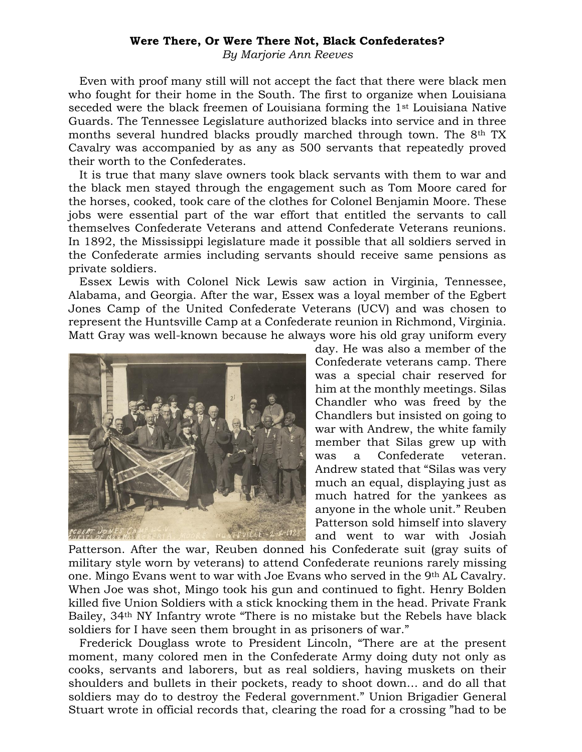## **Were There, Or Were There Not, Black Confederates?**

*By Marjorie Ann Reeves*

 Even with proof many still will not accept the fact that there were black men who fought for their home in the South. The first to organize when Louisiana seceded were the black freemen of Louisiana forming the 1st Louisiana Native Guards. The Tennessee Legislature authorized blacks into service and in three months several hundred blacks proudly marched through town. The 8th TX Cavalry was accompanied by as any as 500 servants that repeatedly proved their worth to the Confederates.

 It is true that many slave owners took black servants with them to war and the black men stayed through the engagement such as Tom Moore cared for the horses, cooked, took care of the clothes for Colonel Benjamin Moore. These jobs were essential part of the war effort that entitled the servants to call themselves Confederate Veterans and attend Confederate Veterans reunions. In 1892, the Mississippi legislature made it possible that all soldiers served in the Confederate armies including servants should receive same pensions as private soldiers.

 Essex Lewis with Colonel Nick Lewis saw action in Virginia, Tennessee, Alabama, and Georgia. After the war, Essex was a loyal member of the Egbert Jones Camp of the United Confederate Veterans (UCV) and was chosen to represent the Huntsville Camp at a Confederate reunion in Richmond, Virginia. Matt Gray was well-known because he always wore his old gray uniform every



day. He was also a member of the Confederate veterans camp. There was a special chair reserved for him at the monthly meetings. Silas Chandler who was freed by the Chandlers but insisted on going to war with Andrew, the white family member that Silas grew up with was a Confederate veteran. Andrew stated that "Silas was very much an equal, displaying just as much hatred for the yankees as anyone in the whole unit." Reuben Patterson sold himself into slavery and went to war with Josiah

Patterson. After the war, Reuben donned his Confederate suit (gray suits of military style worn by veterans) to attend Confederate reunions rarely missing one. Mingo Evans went to war with Joe Evans who served in the 9th AL Cavalry. When Joe was shot, Mingo took his gun and continued to fight. Henry Bolden killed five Union Soldiers with a stick knocking them in the head. Private Frank Bailey, 34th NY Infantry wrote "There is no mistake but the Rebels have black soldiers for I have seen them brought in as prisoners of war."

 Frederick Douglass wrote to President Lincoln, "There are at the present moment, many colored men in the Confederate Army doing duty not only as cooks, servants and laborers, but as real soldiers, having muskets on their shoulders and bullets in their pockets, ready to shoot down… and do all that soldiers may do to destroy the Federal government." Union Brigadier General Stuart wrote in official records that, clearing the road for a crossing "had to be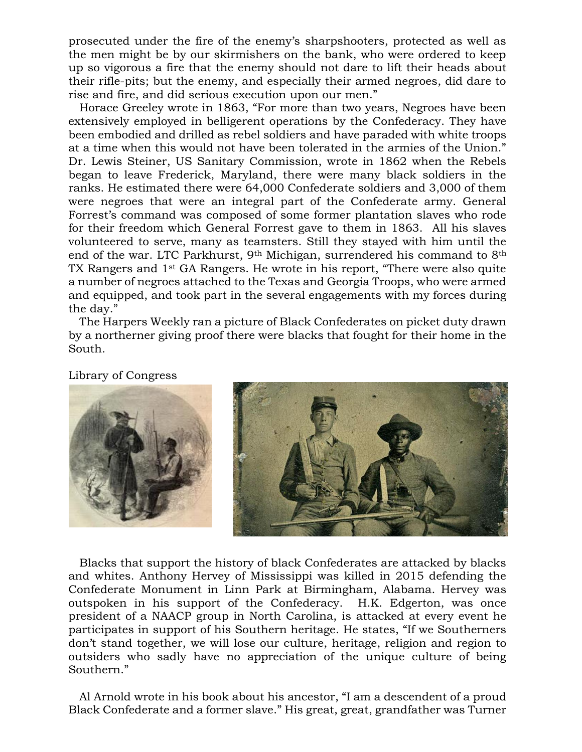prosecuted under the fire of the enemy's sharpshooters, protected as well as the men might be by our skirmishers on the bank, who were ordered to keep up so vigorous a fire that the enemy should not dare to lift their heads about their rifle-pits; but the enemy, and especially their armed negroes, did dare to rise and fire, and did serious execution upon our men."

 Horace Greeley wrote in 1863, "For more than two years, Negroes have been extensively employed in belligerent operations by the Confederacy. They have been embodied and drilled as rebel soldiers and have paraded with white troops at a time when this would not have been tolerated in the armies of the Union." Dr. Lewis Steiner, US Sanitary Commission, wrote in 1862 when the Rebels began to leave Frederick, Maryland, there were many black soldiers in the ranks. He estimated there were 64,000 Confederate soldiers and 3,000 of them were negroes that were an integral part of the Confederate army. General Forrest's command was composed of some former plantation slaves who rode for their freedom which General Forrest gave to them in 1863. All his slaves volunteered to serve, many as teamsters. Still they stayed with him until the end of the war. LTC Parkhurst, 9th Michigan, surrendered his command to 8th TX Rangers and 1st GA Rangers. He wrote in his report, "There were also quite a number of negroes attached to the Texas and Georgia Troops, who were armed and equipped, and took part in the several engagements with my forces during the day."

 The Harpers Weekly ran a picture of Black Confederates on picket duty drawn by a northerner giving proof there were blacks that fought for their home in the South.

Library of Congress



 Blacks that support the history of black Confederates are attacked by blacks and whites. Anthony Hervey of Mississippi was killed in 2015 defending the Confederate Monument in Linn Park at Birmingham, Alabama. Hervey was outspoken in his support of the Confederacy. H.K. Edgerton, was once president of a NAACP group in North Carolina, is attacked at every event he participates in support of his Southern heritage. He states, "If we Southerners don't stand together, we will lose our culture, heritage, religion and region to outsiders who sadly have no appreciation of the unique culture of being Southern."

 Al Arnold wrote in his book about his ancestor, "I am a descendent of a proud Black Confederate and a former slave." His great, great, grandfather was Turner